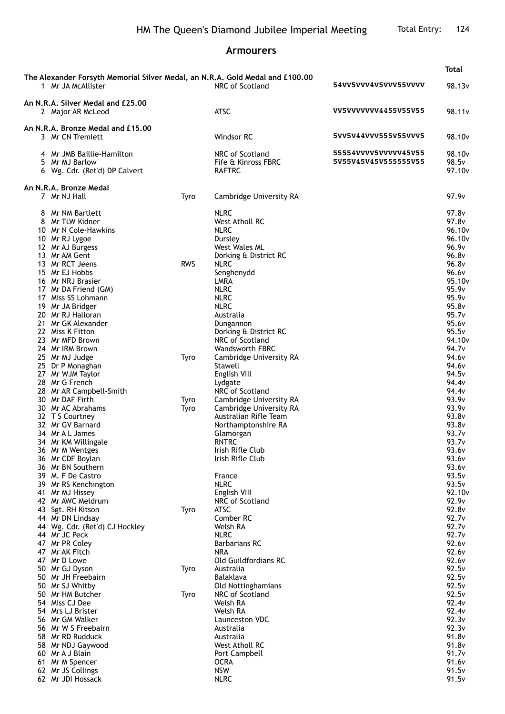## **Armourers**

|                                                        | The Alexander Forsyth Memorial Silver Medal, an N.R.A. Gold Medal and £100.00<br>1 Mr JA McAllister                                                                                                                                                                                                                                                                                                            |                    | NRC of Scotland                                                                                                                                                                                                                                                                                                                                      | 54VV5VVV4V5VVV55VVVV                         | 98.13v                                                                                                                                                                                                                                        |
|--------------------------------------------------------|----------------------------------------------------------------------------------------------------------------------------------------------------------------------------------------------------------------------------------------------------------------------------------------------------------------------------------------------------------------------------------------------------------------|--------------------|------------------------------------------------------------------------------------------------------------------------------------------------------------------------------------------------------------------------------------------------------------------------------------------------------------------------------------------------------|----------------------------------------------|-----------------------------------------------------------------------------------------------------------------------------------------------------------------------------------------------------------------------------------------------|
| An N.R.A. Silver Medal and £25.00<br>2 Major AR McLeod |                                                                                                                                                                                                                                                                                                                                                                                                                |                    | <b>ATSC</b>                                                                                                                                                                                                                                                                                                                                          | VV5VVVVVVV4455V55V55                         | 98.11 <sub>v</sub>                                                                                                                                                                                                                            |
| An N.R.A. Bronze Medal and £15.00<br>3 Mr CN Tremlett  |                                                                                                                                                                                                                                                                                                                                                                                                                |                    | Windsor RC                                                                                                                                                                                                                                                                                                                                           | 5VV5V44VVV555V55VVV5                         | 98.10 <sub>v</sub>                                                                                                                                                                                                                            |
|                                                        | 4 Mr JMB Baillie-Hamilton<br>5 Mr MJ Barlow<br>6 Wg. Cdr. (Ret'd) DP Calvert                                                                                                                                                                                                                                                                                                                                   |                    | NRC of Scotland<br>Fife & Kinross FBRC<br><b>RAFTRC</b>                                                                                                                                                                                                                                                                                              | 55554VVVV5VVVVV45V55<br>5V55V45V45V555555V55 | 98.10 <sub>v</sub><br>98.5 <sub>v</sub><br>97.10 <sub>v</sub>                                                                                                                                                                                 |
|                                                        | An N.R.A. Bronze Medal                                                                                                                                                                                                                                                                                                                                                                                         |                    |                                                                                                                                                                                                                                                                                                                                                      |                                              |                                                                                                                                                                                                                                               |
| 7 Mr NJ Hall                                           |                                                                                                                                                                                                                                                                                                                                                                                                                | Tyro               | Cambridge University RA                                                                                                                                                                                                                                                                                                                              |                                              | 97.9v                                                                                                                                                                                                                                         |
| 13 Mr AM Gent                                          | 8 Mr NM Bartlett<br>8 Mr TLW Kidner<br>10 Mr N Cole-Hawkins<br>10 Mr RJ Lygoe<br>12 Mr AJ Burgess<br>13 Mr RCT Jeens<br>15 Mr EJ Hobbs<br>16 Mr NRJ Brasier<br>17 Mr DA Friend (GM)<br>17 Miss SS Lohmann<br>19 Mr JA Bridger<br>20 Mr RJ Halloran<br>21 Mr GK Alexander<br>22 Miss K Fitton<br>23 Mr MFD Brown<br>24 Mr IRM Brown<br>25 Mr MJ Judge<br>25 Dr P Monaghan<br>27 Mr WJM Taylor<br>28 Mr G French | <b>RWS</b><br>Tyro | <b>NLRC</b><br>West Atholl RC<br><b>NLRC</b><br>Dursley<br>West Wales ML<br>Dorking & District RC<br><b>NLRC</b><br>Senghenydd<br>LMRA<br><b>NLRC</b><br><b>NLRC</b><br><b>NLRC</b><br>Australia<br>Dungannon<br>Dorking & District RC<br>NRC of Scotland<br><b>Wandsworth FBRC</b><br>Cambridge University RA<br>Stawell<br>English VIII<br>Lydgate |                                              | 97.8 <sub>v</sub><br>97.8 <sub>v</sub><br>96.10 <sub>v</sub><br>96.10v<br>96.9v<br>96.8v<br>96.8v<br>96.6v<br>95.10v<br>95.9v<br>95.9v<br>95.8v<br>95.7v<br>95.6v<br>95.5v<br>94.10v<br>94.7 <sub>v</sub><br>94.6v<br>94.6v<br>94.5v<br>94.4v |
|                                                        | 28 Mr AR Campbell-Smith<br>30 Mr DAF Firth<br>30 Mr AC Abrahams<br>32 T S Courtney<br>32 Mr GV Barnard<br>34 Mr A L James<br>34 Mr KM Willingale<br>36 Mr M Wentges<br>36 Mr CDF Boylan<br>36 Mr BN Southern<br>39 M. F De Castro<br>39 Mr RS Kenchington                                                                                                                                                      | Tyro<br>Tyro       | NRC of Scotland<br>Cambridge University RA<br>Cambridge University RA<br>Australian Rifle Team<br>Northamptonshire RA<br>Glamorgan<br>RNTRC<br>Irish Rifle Club<br>Irish Rifle Club<br>France<br><b>NLRC</b>                                                                                                                                         |                                              | 94.4v<br>93.9v<br>93.9v<br>93.8v<br>93.8v<br>93.7v<br>93.7v<br>93.6v<br>93.6v<br>93.6v<br>93.5v<br>93.5v                                                                                                                                      |
| 44 Mr JC Peck<br>47 Mr AK Fitch<br>47 Mr D Lowe        | 41 Mr MJ Hissey<br>42 Mr AWC Meldrum<br>43 Sgt. RH Kitson<br>44 Mr DN Lindsay<br>44 Wg. Cdr. (Ret'd) CJ Hockley<br>47 Mr PR Coley                                                                                                                                                                                                                                                                              | Tyro               | English VIII<br>NRC of Scotland<br><b>ATSC</b><br>Comber RC<br>Welsh RA<br><b>NLRC</b><br><b>Barbarians RC</b><br>NRA<br>Old Guildfordians RC                                                                                                                                                                                                        |                                              | 92.10v<br>92.9v<br>92.8v<br>92.7v<br>92.7v<br>92.7v<br>92.6v<br>92.6v<br>92.6v                                                                                                                                                                |
| 54 Miss CJ Dee<br>60 Mr A J Blain                      | 50 Mr GJ Dyson<br>50 Mr JH Freebairn<br>50 Mr SJ Whitby<br>50 Mr HM Butcher<br>54 Mrs LJ Brister<br>56 Mr GM Walker<br>56 Mr W S Freebairn<br>58 Mr RD Rudduck<br>58 Mr NDJ Gaywood<br>61 Mr M Spencer<br>62 Mr JS Collings<br>62 Mr JDI Hossack                                                                                                                                                               | Tyro<br>Tyro       | Australia<br><b>Balaklava</b><br>Old Nottinghamians<br>NRC of Scotland<br>Welsh RA<br>Welsh RA<br>Launceston VDC<br>Australia<br>Australia<br>West Atholl RC<br>Port Campbell<br><b>OCRA</b><br><b>NSW</b><br><b>NLRC</b>                                                                                                                            |                                              | 92.5v<br>92.5v<br>92.5v<br>92.5v<br>92.4v<br>92.4v<br>92.3v<br>92.3v<br>91.8v<br>91.8v<br>91.7v<br>91.6v<br>91.5v<br>91.5v                                                                                                                    |